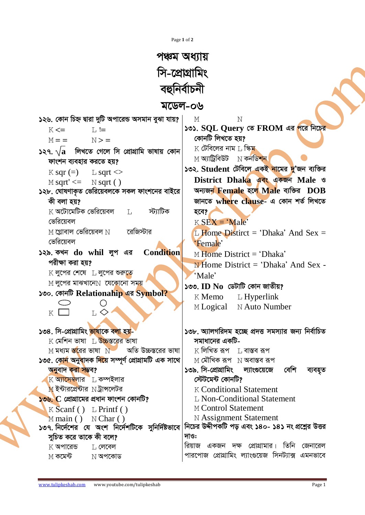| Page 1 of 2 |  |  |
|-------------|--|--|
|             |  |  |

## পঞ্চম অধ্যায় সি-প্রোগ্রামিং বহুনিৰ্বাচনী

## মডেল-০৬

| ১২৬. কোন চিহ্ন দ্বারা দুটি অপারেন্ড অসমান বুঝা যায়?                        | М<br>N                                                                  |
|-----------------------------------------------------------------------------|-------------------------------------------------------------------------|
| $L :=$<br>$K \leq 1$                                                        | ১৩১. SQL Query তে FROM এর পরে নিচের                                     |
| $M =$ $N >$ $=$                                                             | কোনটি লিখতে হয়?                                                        |
| $\sqrt{2}$ $\sqrt{a}$ লিখতে গেলে সি প্রোগ্রামি ভাষায় কোন                   | $\rm K$ টেবিলের নাম $\rm L$ স্কিম                                       |
| ফাংশন ব্যবহার করতে হয়?                                                     | $M$ অ্যাট্রিবিউট $N$ কনডিশন                                             |
| $K$ sqr (=) $L$ sqrt $\ll$                                                  | ১৩২. Student টেবিলে একই নামের দু'জন ব্যক্তির                            |
| $M$ sqrt' $\leq$ $N$ sqrt()                                                 | District Dhaka बदर बुके Male ও                                          |
| ১২৮. ঘোষণাকৃত ভেরিয়েবলকে সকল ফাংশনের বাইরে                                 | অন্যজন Female হলে Male ব্যক্তির DOB                                     |
| কী বলা হয়?                                                                 | জানতে where clause- এ কোন শৰ্ত লিখতে                                    |
| $\rm K$ অটোমেটিক ভেরিয়েবল $\rm L$ স্ট্যাটিক                                | হবে?                                                                    |
| ভেরিয়েবল                                                                   | $K$ SEX = 'Male'                                                        |
| $M$ গ্লোবাল ভেরিয়েবল $N$ ব্রেজিস্টার                                       | L Home Distirct = 'Dhaka' And Sex =                                     |
| ভেরিয়েবল                                                                   | 'Female'                                                                |
| ১২৯. কখন do whil লুপ এর Condition                                           | $M$ Home District = 'Dhaka'                                             |
| পরীক্ষা করা হয়?                                                            | <b>N</b> Home District = 'Dhaka' And Sex -                              |
| $K$ লুপের শেষে $L$ লুপের শুরুতে                                             | 'Male'                                                                  |
| $M$ লুপের মাঝখানে $N$ যেকোনো সময়                                           | ১৩৩. ID No ডেটাটি কোন জাতীয়?                                           |
| ১৩০. কোনটি Relationahip এর Symbol?                                          | $K$ Memo $L$ Hyperlink                                                  |
|                                                                             | M Logical N Auto Number                                                 |
| $L \diamond$<br>$K \Box$                                                    |                                                                         |
|                                                                             |                                                                         |
| ১৩৪. সি-প্ৰোগ্ৰামিং <mark>ভাষা</mark> কে বলা হয়-                           | ১৩৮. অ্যালগরিদম হচ্ছে প্রদত্ত সমস্যার জন্য নির্বাচিত                    |
| $K$ মেশিন ভাষা $L$ উচ্চস্তরের ভাষা                                          | সমাধানের একটি-                                                          |
| অতি উচ্চস্তরের ভাষা<br>$\le$ মধ্যম স্তরের ভাষা $\le$ $\le$                  | $K$ লিখিত রূপ $\quad$ $\Box$ বাস্তব রূপ                                 |
| ১৩৫. কো <mark>ন অনুবাদক দিয়ে সম্প</mark> ূৰ্ণ প্ৰোগ্ৰামটি এক সাথে          | $M$ মৌখিক রূপ $N$ অবাস্তব রূপ                                           |
| অনুবাদ করা সম্ভব?                                                           | ১৩৯ সি-প্রোগ্রামিং ল্যাংগুয়েজে<br>বেশি<br>ব্যবহৃত<br>স্টেটমেন্ট কোনটি? |
| $K$ অ্যাসেম্বলার $L$ কম্পইলার<br>$M$ ইন্টারপ্রেন্টার $N$ ট্রান্সলেটর        | <b>K Conditional Statement</b>                                          |
| $50$ ৬. $\bf C$ প্রোগ্রামের প্রধান ফাংশন কোনটি?                             | L Non-Conditional Statement                                             |
|                                                                             | M Control Statement                                                     |
| $K$ Scanf () L Printf ()                                                    | <b>N</b> Assignment Statement                                           |
| $M$ main () $N$ Char ()<br>১৩৭ নির্দেশের যে অংশ নির্দেশটিকে সুনির্দিষ্টভাবে | নিচের উদ্দীপকটি পড় এবং ১৪০- ১৪১ নং প্রশ্নের উত্তর                      |
| সুচিত করে তাকে কী বলে?                                                      | দাও:                                                                    |
| $K$ অপারেন্ড<br>$L$ লেবেল                                                   | রিয়াজ<br>একজন দক্ষ প্রোগ্রামার। তিনি<br>জেনারেল                        |
| $\rm M$ কমেন্ট<br>$N$ অপকোড                                                 | পারপোজ প্রোগ্রামিং ল্যাংগুয়েজ সিনট্যাক্স এমনভাবে                       |